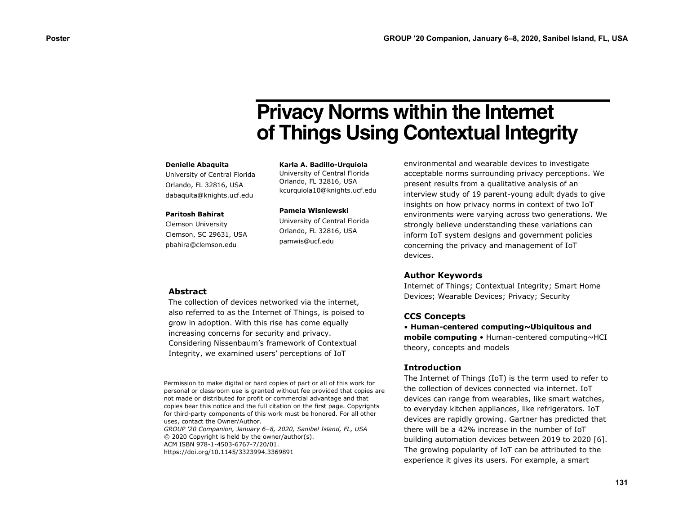# **Privacy Norms within the Internet of Things Using Contextual Integrity**

#### **Denielle Abaquita**

University of Central Florida Orlando, FL 32816, USA dabaquita@knights.ucf.edu

### **Paritosh Bahirat**

Clemson University Clemson, SC 29631, USA pbahira@clemson.edu

**Karla A. Badillo-Urquiola** University of Central Florida Orlando, FL 32816, USA kcurquiola10@knights.ucf.edu

## **Pamela Wisniewski**

University of Central Florida Orlando, FL 32816, USA pamwis@ucf.edu

### **Abstract**

The collection of devices networked via the internet, also referred to as the Internet of Things, is poised to grow in adoption. With this rise has come equally increasing concerns for security and privacy. Considering Nissenbaum's framework of Contextual Integrity, we examined users' perceptions of IoT

Permission to make digital or hard copies of part or all of this work for personal or classroom use is granted without fee provided that copies are not made or distributed for profit or commercial advantage and that copies bear this notice and the full citation on the first page. Copyrights for third-party components of this work must be honored. For all other uses, contact the Owner/Author. *GROUP '20 Companion, January 6–8, 2020, Sanibel Island, FL, USA* © 2020 Copyright is held by the owner/author(s).

ACM ISBN 978-1-4503-6767-7/20/01. https://doi.org/10.1145/3323994.3369891 environmental and wearable devices to investigate acceptable norms surrounding privacy perceptions. We present results from a qualitative analysis of an interview study of 19 parent-young adult dyads to give insights on how privacy norms in context of two IoT environments were varying across two generations. We strongly believe understanding these variations can inform IoT system designs and government policies concerning the privacy and management of IoT devices.

## **Author Keywords**

Internet of Things; Contextual Integrity; Smart Home Devices; Wearable Devices; Privacy; Security

# **CCS Concepts**

• **Human-centered computing~Ubiquitous and mobile computing** • Human-centered computing~HCI theory, concepts and models

## **Introduction**

The Internet of Things (IoT) is the term used to refer to the collection of devices connected via internet. IoT devices can range from wearables, like smart watches, to everyday kitchen appliances, like refrigerators. IoT devices are rapidly growing. Gartner has predicted that there will be a 42% increase in the number of IoT building automation devices between 2019 to 2020 [6]. The growing popularity of IoT can be attributed to the experience it gives its users. For example, a smart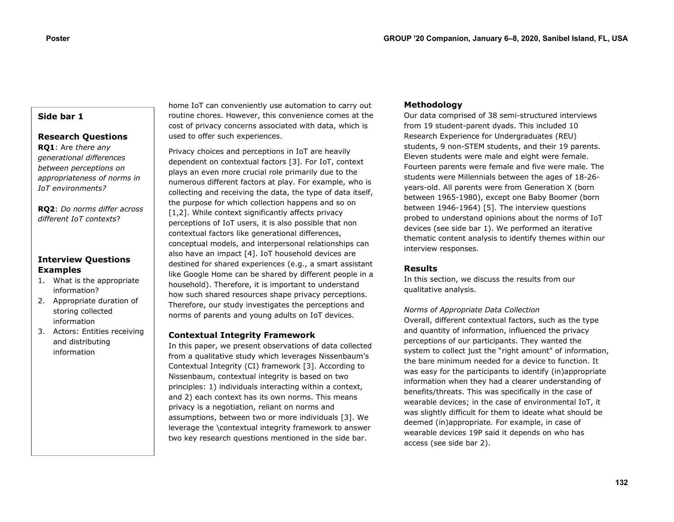# **Side bar 1**

# **Research Questions**

**RQ1**: Are *there any generational differences between perceptions on appropriateness of norms in IoT environments?*

**RQ2**: *Do norms differ across different IoT contexts*?

# **Interview Questions Examples**

- 1. What is the appropriate information?
- 2. Appropriate duration of storing collected information
- 3. Actors: Entities receiving and distributing information

home IoT can conveniently use automation to carry out routine chores. However, this convenience comes at the cost of privacy concerns associated with data, which is used to offer such experiences.

Privacy choices and perceptions in IoT are heavily dependent on contextual factors [3]. For IoT, context plays an even more crucial role primarily due to the numerous different factors at play. For example, who is collecting and receiving the data, the type of data itself, the purpose for which collection happens and so on [1,2]. While context significantly affects privacy perceptions of IoT users, it is also possible that non contextual factors like generational differences, conceptual models, and interpersonal relationships can also have an impact [4]. IoT household devices are destined for shared experiences (e.g., a smart assistant like Google Home can be shared by different people in a household). Therefore, it is important to understand how such shared resources shape privacy perceptions. Therefore, our study investigates the perceptions and norms of parents and young adults on IoT devices.

# **Contextual Integrity Framework**

In this paper, we present observations of data collected from a qualitative study which leverages Nissenbaum's Contextual Integrity (CI) framework [3]. According to Nissenbaum, contextual integrity is based on two principles: 1) individuals interacting within a context, and 2) each context has its own norms. This means privacy is a negotiation, reliant on norms and assumptions, between two or more individuals [3]. We leverage the \contextual integrity framework to answer two key research questions mentioned in the side bar.

# **Methodology**

Our data comprised of 38 semi-structured interviews from 19 student-parent dyads. This included 10 Research Experience for Undergraduates (REU) students, 9 non-STEM students, and their 19 parents. Eleven students were male and eight were female. Fourteen parents were female and five were male. The students were Millennials between the ages of 18-26 years-old. All parents were from Generation X (born between 1965-1980), except one Baby Boomer (born between 1946-1964) [5]. The interview questions probed to understand opinions about the norms of IoT devices (see side bar 1). We performed an iterative thematic content analysis to identify themes within our interview responses.

# **Results**

In this section, we discuss the results from our qualitative analysis.

#### *Norms of Appropriate Data Collection*

Overall, different contextual factors, such as the type and quantity of information, influenced the privacy perceptions of our participants. They wanted the system to collect just the "right amount" of information, the bare minimum needed for a device to function. It was easy for the participants to identify (in)appropriate information when they had a clearer understanding of benefits/threats. This was specifically in the case of wearable devices; in the case of environmental IoT, it was slightly difficult for them to ideate what should be deemed (in)appropriate. For example, in case of wearable devices 19P said it depends on who has access (see side bar 2).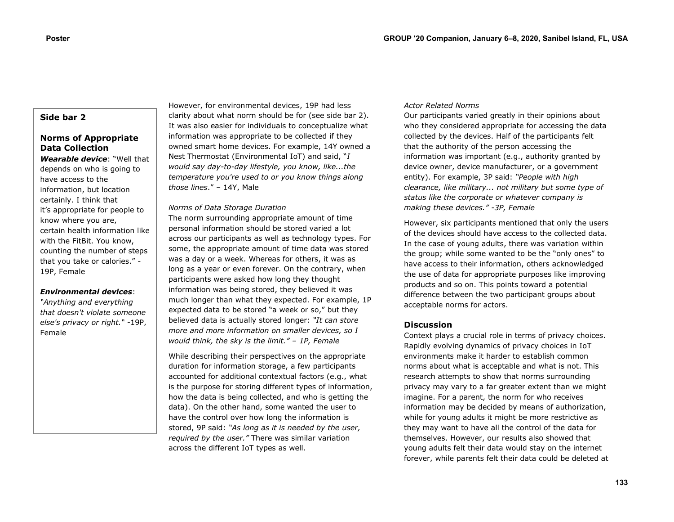# **Side bar 2**

# **Norms of Appropriate Data Collection** *Wearable device*: "Well that

depends on who is going to have access to the information, but location certainly. I think that it's appropriate for people to know where you are, certain health information like with the FitBit. You know, counting the number of steps that you take or calories." - 19P, Female

# *Environmental devices*:

*"Anything and everything that doesn't violate someone else's privacy or right."* -19P, Female

However, for environmental devices, 19P had less clarity about what norm should be for (see side bar 2). It was also easier for individuals to conceptualize what information was appropriate to be collected if they owned smart home devices. For example, 14Y owned a Nest Thermostat (Environmental IoT) and said, "*I would say day-to-day lifestyle, you know, like...the temperature you're used to or you know things along those lines*." – 14Y, Male

# *Norms of Data Storage Duration*

The norm surrounding appropriate amount of time personal information should be stored varied a lot across our participants as well as technology types. For some, the appropriate amount of time data was stored was a day or a week. Whereas for others, it was as long as a year or even forever. On the contrary, when participants were asked how long they thought information was being stored, they believed it was much longer than what they expected. For example, 1P expected data to be stored "a week or so," but they believed data is actually stored longer: *"It can store more and more information on smaller devices, so I would think, the sky is the limit." – 1P, Female*

While describing their perspectives on the appropriate duration for information storage, a few participants accounted for additional contextual factors (e.g., what is the purpose for storing different types of information, how the data is being collected, and who is getting the data). On the other hand, some wanted the user to have the control over how long the information is stored, 9P said: *"As long as it is needed by the user, required by the user."* There was similar variation across the different IoT types as well.

# *Actor Related Norms*

Our participants varied greatly in their opinions about who they considered appropriate for accessing the data collected by the devices. Half of the participants felt that the authority of the person accessing the information was important (e.g., authority granted by device owner, device manufacturer, or a government entity). For example, 3P said: *"People with high clearance, like military... not military but some type of status like the corporate or whatever company is making these devices." -3P, Female*

However, six participants mentioned that only the users of the devices should have access to the collected data. In the case of young adults, there was variation within the group; while some wanted to be the "only ones" to have access to their information, others acknowledged the use of data for appropriate purposes like improving products and so on. This points toward a potential difference between the two participant groups about acceptable norms for actors.

# **Discussion**

Context plays a crucial role in terms of privacy choices. Rapidly evolving dynamics of privacy choices in IoT environments make it harder to establish common norms about what is acceptable and what is not. This research attempts to show that norms surrounding privacy may vary to a far greater extent than we might imagine. For a parent, the norm for who receives information may be decided by means of authorization, while for young adults it might be more restrictive as they may want to have all the control of the data for themselves. However, our results also showed that young adults felt their data would stay on the internet forever, while parents felt their data could be deleted at